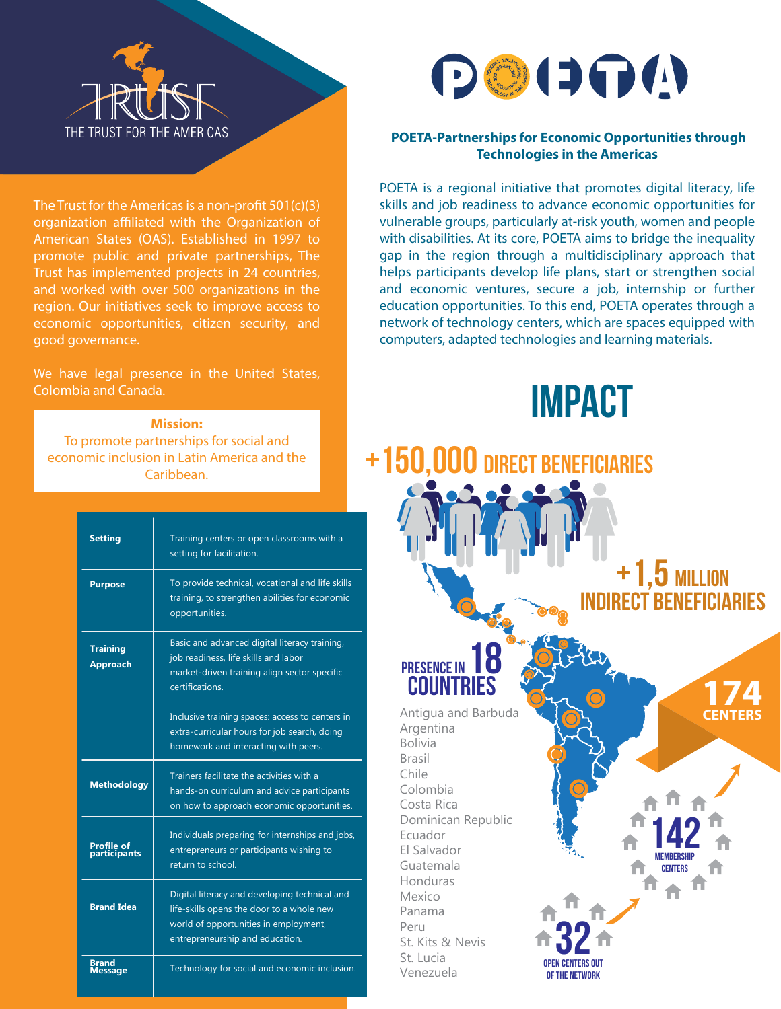

The Trust for the Americas is a non-profit  $501(c)(3)$ organization affiliated with the Organization of American States (OAS). Established in 1997 to promote public and private partnerships, The Trust has implemented projects in 24 countries, and worked with over 500 organizations in the region. Our initiatives seek to improve access to economic opportunities, citizen security, and good governance.

We have legal presence in the United States, Colombia and Canada.

#### **Mission:**

To promote partnerships for social and economic inclusion in Latin America and the Caribbean.

| <b>Setting</b>                     | Training centers or open classrooms with a<br>setting for facilitation.                                                                                                |
|------------------------------------|------------------------------------------------------------------------------------------------------------------------------------------------------------------------|
| <b>Purpose</b>                     | To provide technical, vocational and life skills<br>training, to strengthen abilities for economic<br>opportunities.                                                   |
| <b>Training</b><br><b>Approach</b> | Basic and advanced digital literacy training,<br>job readiness, life skills and labor<br>market-driven training align sector specific<br>certifications.               |
|                                    | Inclusive training spaces: access to centers in<br>extra-curricular hours for job search, doing<br>homework and interacting with peers.                                |
| <b>Methodology</b>                 | Trainers facilitate the activities with a<br>hands-on curriculum and advice participants<br>on how to approach economic opportunities.                                 |
| <b>Profile of</b><br>participants  | Individuals preparing for internships and jobs,<br>entrepreneurs or participants wishing to<br>return to school.                                                       |
| <b>Brand Idea</b>                  | Digital literacy and developing technical and<br>life-skills opens the door to a whole new<br>world of opportunities in employment,<br>entrepreneurship and education. |
| Brand<br>essage                    | Technology for social and economic inclusion.                                                                                                                          |



#### **POETA-Partnerships for Economic Opportunities through Technologies in the Americas**

POETA is a regional initiative that promotes digital literacy, life skills and job readiness to advance economic opportunities for vulnerable groups, particularly at-risk youth, women and people with disabilities. At its core, POETA aims to bridge the inequality gap in the region through a multidisciplinary approach that helps participants develop life plans, start or strengthen social and economic ventures, secure a job, internship or further education opportunities. To this end, POETA operates through a network of technology centers, which are spaces equipped with computers, adapted technologies and learning materials.



REPUBLIC  $+1.5$  MILLION indirect beneficiaries